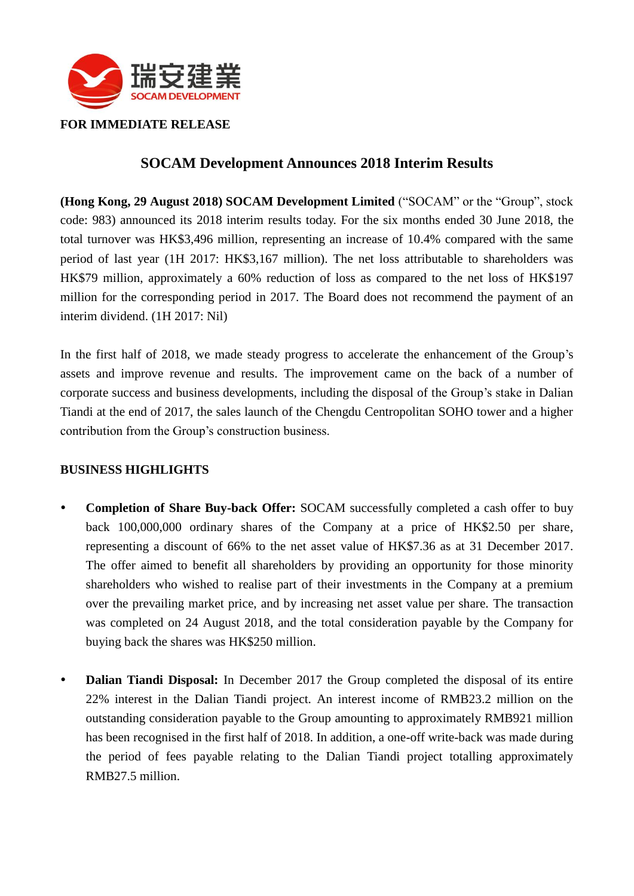

## **FOR IMMEDIATE RELEASE**

# **SOCAM Development Announces 2018 Interim Results**

**(Hong Kong, 29 August 2018) SOCAM Development Limited** ("SOCAM" or the "Group", stock code: 983) announced its 2018 interim results today. For the six months ended 30 June 2018, the total turnover was HK\$3,496 million, representing an increase of 10.4% compared with the same period of last year (1H 2017: HK\$3,167 million). The net loss attributable to shareholders was HK\$79 million, approximately a 60% reduction of loss as compared to the net loss of HK\$197 million for the corresponding period in 2017. The Board does not recommend the payment of an interim dividend. (1H 2017: Nil)

In the first half of 2018, we made steady progress to accelerate the enhancement of the Group's assets and improve revenue and results. The improvement came on the back of a number of corporate success and business developments, including the disposal of the Group's stake in Dalian Tiandi at the end of 2017, the sales launch of the Chengdu Centropolitan SOHO tower and a higher contribution from the Group's construction business.

## **BUSINESS HIGHLIGHTS**

- **Completion of Share Buy-back Offer:** SOCAM successfully completed a cash offer to buy back 100,000,000 ordinary shares of the Company at a price of HK\$2.50 per share, representing a discount of 66% to the net asset value of HK\$7.36 as at 31 December 2017. The offer aimed to benefit all shareholders by providing an opportunity for those minority shareholders who wished to realise part of their investments in the Company at a premium over the prevailing market price, and by increasing net asset value per share. The transaction was completed on 24 August 2018, and the total consideration payable by the Company for buying back the shares was HK\$250 million.
- **Dalian Tiandi Disposal:** In December 2017 the Group completed the disposal of its entire 22% interest in the Dalian Tiandi project. An interest income of RMB23.2 million on the outstanding consideration payable to the Group amounting to approximately RMB921 million has been recognised in the first half of 2018. In addition, a one-off write-back was made during the period of fees payable relating to the Dalian Tiandi project totalling approximately RMB27.5 million.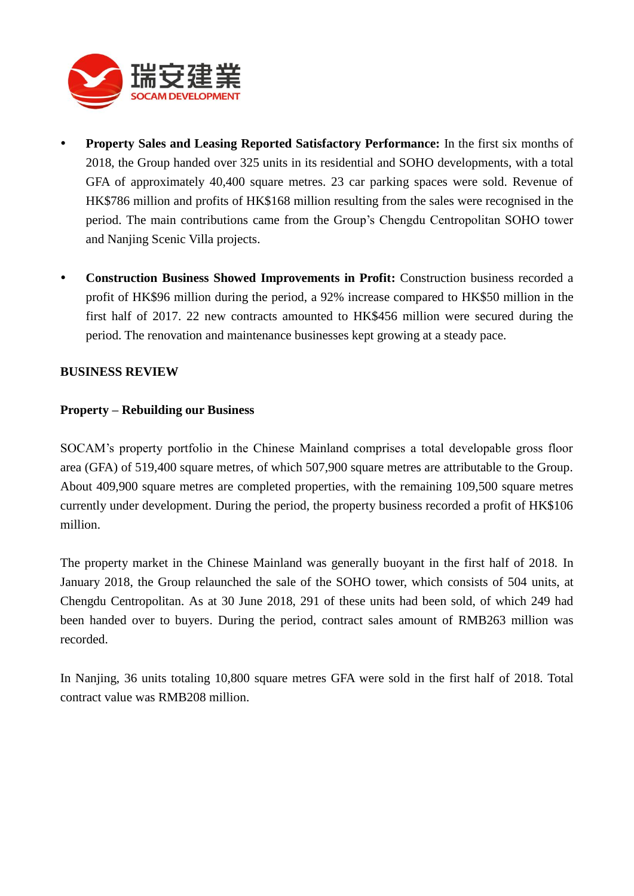

- **Property Sales and Leasing Reported Satisfactory Performance:** In the first six months of 2018, the Group handed over 325 units in its residential and SOHO developments, with a total GFA of approximately 40,400 square metres. 23 car parking spaces were sold. Revenue of HK\$786 million and profits of HK\$168 million resulting from the sales were recognised in the period. The main contributions came from the Group's Chengdu Centropolitan SOHO tower and Nanjing Scenic Villa projects.
- **Construction Business Showed Improvements in Profit:** Construction business recorded a profit of HK\$96 million during the period, a 92% increase compared to HK\$50 million in the first half of 2017. 22 new contracts amounted to HK\$456 million were secured during the period. The renovation and maintenance businesses kept growing at a steady pace.

#### **BUSINESS REVIEW**

#### **Property – Rebuilding our Business**

SOCAM's property portfolio in the Chinese Mainland comprises a total developable gross floor area (GFA) of 519,400 square metres, of which 507,900 square metres are attributable to the Group. About 409,900 square metres are completed properties, with the remaining 109,500 square metres currently under development. During the period, the property business recorded a profit of HK\$106 million.

The property market in the Chinese Mainland was generally buoyant in the first half of 2018. In January 2018, the Group relaunched the sale of the SOHO tower, which consists of 504 units, at Chengdu Centropolitan. As at 30 June 2018, 291 of these units had been sold, of which 249 had been handed over to buyers. During the period, contract sales amount of RMB263 million was recorded.

In Nanjing, 36 units totaling 10,800 square metres GFA were sold in the first half of 2018. Total contract value was RMB208 million.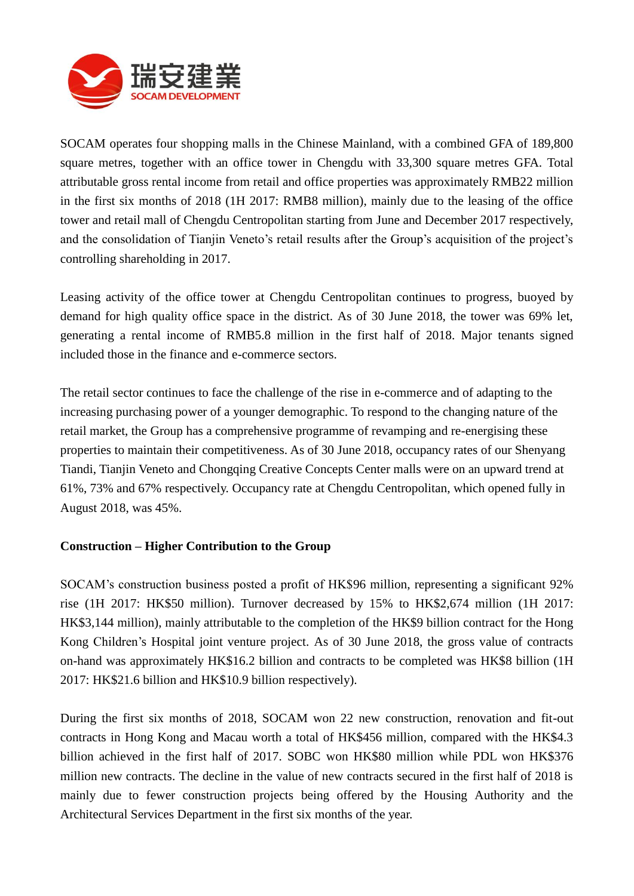

SOCAM operates four shopping malls in the Chinese Mainland, with a combined GFA of 189,800 square metres, together with an office tower in Chengdu with 33,300 square metres GFA. Total attributable gross rental income from retail and office properties was approximately RMB22 million in the first six months of 2018 (1H 2017: RMB8 million), mainly due to the leasing of the office tower and retail mall of Chengdu Centropolitan starting from June and December 2017 respectively, and the consolidation of Tianjin Veneto's retail results after the Group's acquisition of the project's controlling shareholding in 2017.

Leasing activity of the office tower at Chengdu Centropolitan continues to progress, buoyed by demand for high quality office space in the district. As of 30 June 2018, the tower was 69% let, generating a rental income of RMB5.8 million in the first half of 2018. Major tenants signed included those in the finance and e-commerce sectors.

The retail sector continues to face the challenge of the rise in e-commerce and of adapting to the increasing purchasing power of a younger demographic. To respond to the changing nature of the retail market, the Group has a comprehensive programme of revamping and re-energising these properties to maintain their competitiveness. As of 30 June 2018, occupancy rates of our Shenyang Tiandi, Tianjin Veneto and Chongqing Creative Concepts Center malls were on an upward trend at 61%, 73% and 67% respectively. Occupancy rate at Chengdu Centropolitan, which opened fully in August 2018, was 45%.

## **Construction – Higher Contribution to the Group**

SOCAM's construction business posted a profit of HK\$96 million, representing a significant 92% rise (1H 2017: HK\$50 million). Turnover decreased by 15% to HK\$2,674 million (1H 2017: HK\$3,144 million), mainly attributable to the completion of the HK\$9 billion contract for the Hong Kong Children's Hospital joint venture project. As of 30 June 2018, the gross value of contracts on-hand was approximately HK\$16.2 billion and contracts to be completed was HK\$8 billion (1H 2017: HK\$21.6 billion and HK\$10.9 billion respectively).

During the first six months of 2018, SOCAM won 22 new construction, renovation and fit-out contracts in Hong Kong and Macau worth a total of HK\$456 million, compared with the HK\$4.3 billion achieved in the first half of 2017. SOBC won HK\$80 million while PDL won HK\$376 million new contracts. The decline in the value of new contracts secured in the first half of 2018 is mainly due to fewer construction projects being offered by the Housing Authority and the Architectural Services Department in the first six months of the year.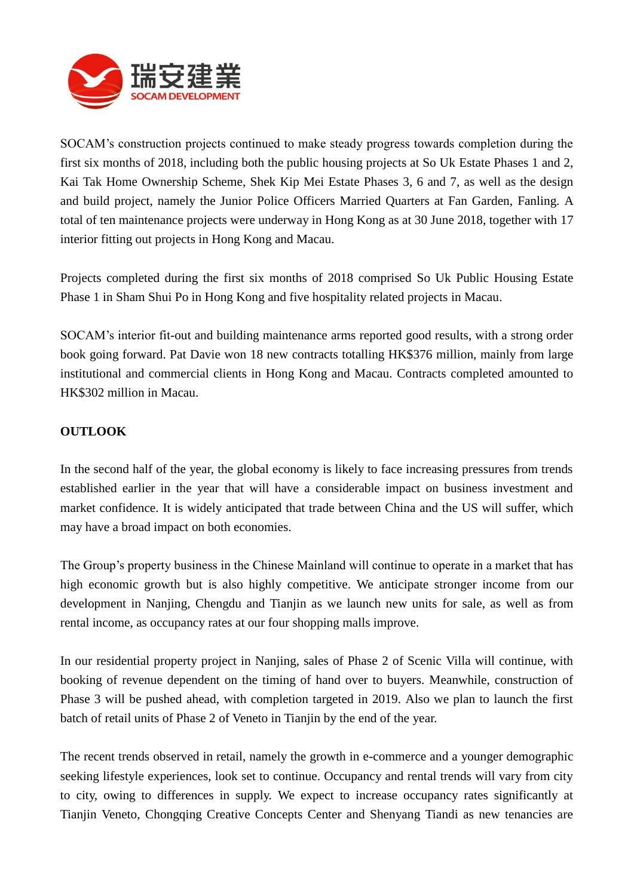

SOCAM's construction projects continued to make steady progress towards completion during the first six months of 2018, including both the public housing projects at So Uk Estate Phases 1 and 2, Kai Tak Home Ownership Scheme, Shek Kip Mei Estate Phases 3, 6 and 7, as well as the design and build project, namely the Junior Police Officers Married Quarters at Fan Garden, Fanling. A total of ten maintenance projects were underway in Hong Kong as at 30 June 2018, together with 17 interior fitting out projects in Hong Kong and Macau.

Projects completed during the first six months of 2018 comprised So Uk Public Housing Estate Phase 1 in Sham Shui Po in Hong Kong and five hospitality related projects in Macau.

SOCAM's interior fit-out and building maintenance arms reported good results, with a strong order book going forward. Pat Davie won 18 new contracts totalling HK\$376 million, mainly from large institutional and commercial clients in Hong Kong and Macau. Contracts completed amounted to HK\$302 million in Macau.

# **OUTLOOK**

In the second half of the year, the global economy is likely to face increasing pressures from trends established earlier in the year that will have a considerable impact on business investment and market confidence. It is widely anticipated that trade between China and the US will suffer, which may have a broad impact on both economies.

The Group's property business in the Chinese Mainland will continue to operate in a market that has high economic growth but is also highly competitive. We anticipate stronger income from our development in Nanjing, Chengdu and Tianjin as we launch new units for sale, as well as from rental income, as occupancy rates at our four shopping malls improve.

In our residential property project in Nanjing, sales of Phase 2 of Scenic Villa will continue, with booking of revenue dependent on the timing of hand over to buyers. Meanwhile, construction of Phase 3 will be pushed ahead, with completion targeted in 2019. Also we plan to launch the first batch of retail units of Phase 2 of Veneto in Tianjin by the end of the year.

The recent trends observed in retail, namely the growth in e-commerce and a younger demographic seeking lifestyle experiences, look set to continue. Occupancy and rental trends will vary from city to city, owing to differences in supply. We expect to increase occupancy rates significantly at Tianjin Veneto, Chongqing Creative Concepts Center and Shenyang Tiandi as new tenancies are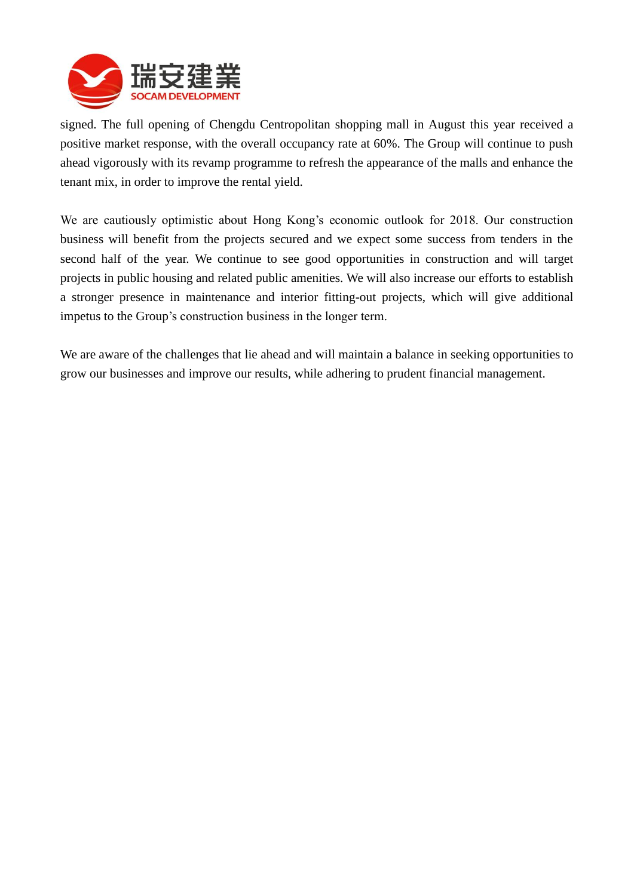

signed. The full opening of Chengdu Centropolitan shopping mall in August this year received a positive market response, with the overall occupancy rate at 60%. The Group will continue to push ahead vigorously with its revamp programme to refresh the appearance of the malls and enhance the tenant mix, in order to improve the rental yield.

We are cautiously optimistic about Hong Kong's economic outlook for 2018. Our construction business will benefit from the projects secured and we expect some success from tenders in the second half of the year. We continue to see good opportunities in construction and will target projects in public housing and related public amenities. We will also increase our efforts to establish a stronger presence in maintenance and interior fitting-out projects, which will give additional impetus to the Group's construction business in the longer term.

We are aware of the challenges that lie ahead and will maintain a balance in seeking opportunities to grow our businesses and improve our results, while adhering to prudent financial management.